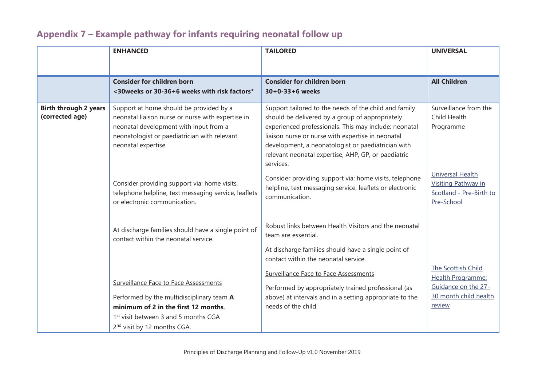|                                                 | <b>ENHANCED</b>                                                                                                                                                                                                           | <b>TAILORED</b>                                                                                                                                                                                                                                                                                                                                  | <b>UNIVERSAL</b>                                                                               |
|-------------------------------------------------|---------------------------------------------------------------------------------------------------------------------------------------------------------------------------------------------------------------------------|--------------------------------------------------------------------------------------------------------------------------------------------------------------------------------------------------------------------------------------------------------------------------------------------------------------------------------------------------|------------------------------------------------------------------------------------------------|
|                                                 | <b>Consider for children born</b>                                                                                                                                                                                         | <b>Consider for children born</b>                                                                                                                                                                                                                                                                                                                | <b>All Children</b>                                                                            |
|                                                 | <30 weeks or 30-36+6 weeks with risk factors*                                                                                                                                                                             | $30+0-33+6$ weeks                                                                                                                                                                                                                                                                                                                                |                                                                                                |
| <b>Birth through 2 years</b><br>(corrected age) | Support at home should be provided by a<br>neonatal liaison nurse or nurse with expertise in<br>neonatal development with input from a<br>neonatologist or paediatrician with relevant<br>neonatal expertise.             | Support tailored to the needs of the child and family<br>should be delivered by a group of appropriately<br>experienced professionals. This may include: neonatal<br>liaison nurse or nurse with expertise in neonatal<br>development, a neonatologist or paediatrician with<br>relevant neonatal expertise, AHP, GP, or paediatric<br>services. | Surveillance from the<br>Child Health<br>Programme                                             |
|                                                 | Consider providing support via: home visits,<br>telephone helpline, text messaging service, leaflets<br>or electronic communication.                                                                                      | Consider providing support via: home visits, telephone<br>helpline, text messaging service, leaflets or electronic<br>communication.                                                                                                                                                                                                             | <b>Universal Health</b><br><b>Visiting Pathway in</b><br>Scotland - Pre-Birth to<br>Pre-School |
|                                                 | At discharge families should have a single point of<br>contact within the neonatal service.                                                                                                                               | Robust links between Health Visitors and the neonatal<br>team are essential.<br>At discharge families should have a single point of<br>contact within the neonatal service.<br><b>Surveillance Face to Face Assessments</b>                                                                                                                      | The Scottish Child                                                                             |
|                                                 | Surveillance Face to Face Assessments<br>Performed by the multidisciplinary team A<br>minimum of 2 in the first 12 months.<br>1 <sup>st</sup> visit between 3 and 5 months CGA<br>2 <sup>nd</sup> visit by 12 months CGA. | Performed by appropriately trained professional (as<br>above) at intervals and in a setting appropriate to the<br>needs of the child.                                                                                                                                                                                                            | Health Programme:<br>Guidance on the 27-<br>30 month child health<br>review                    |

## Appendix 7 – Example pathway for infants requiring neonatal follow up  $\frac{1}{2}$  might partitive include drug  $\frac{1}{2}$  increased charts in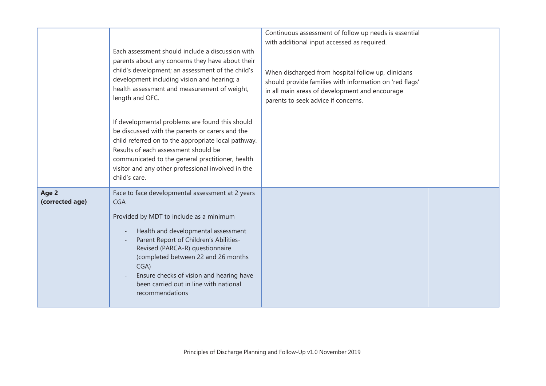|                          | Each assessment should include a discussion with<br>parents about any concerns they have about their<br>child's development; an assessment of the child's<br>development including vision and hearing; a<br>health assessment and measurement of weight,<br>length and OFC.                                                                                                           | Continuous assessment of follow up needs is essential<br>with additional input accessed as required.<br>When discharged from hospital follow up, clinicians<br>should provide families with information on 'red flags'<br>in all main areas of development and encourage<br>parents to seek advice if concerns. |  |
|--------------------------|---------------------------------------------------------------------------------------------------------------------------------------------------------------------------------------------------------------------------------------------------------------------------------------------------------------------------------------------------------------------------------------|-----------------------------------------------------------------------------------------------------------------------------------------------------------------------------------------------------------------------------------------------------------------------------------------------------------------|--|
|                          | If developmental problems are found this should<br>be discussed with the parents or carers and the<br>child referred on to the appropriate local pathway.<br>Results of each assessment should be<br>communicated to the general practitioner, health<br>visitor and any other professional involved in the<br>child's care.                                                          |                                                                                                                                                                                                                                                                                                                 |  |
| Age 2<br>(corrected age) | Face to face developmental assessment at 2 years<br><b>CGA</b><br>Provided by MDT to include as a minimum<br>Health and developmental assessment<br>Parent Report of Children's Abilities-<br>Revised (PARCA-R) questionnaire<br>(completed between 22 and 26 months<br>CGA)<br>Ensure checks of vision and hearing have<br>been carried out in line with national<br>recommendations |                                                                                                                                                                                                                                                                                                                 |  |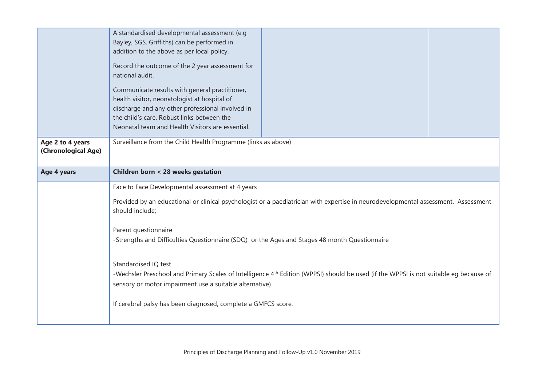|                                         | A standardised developmental assessment (e.g<br>Bayley, SGS, Griffiths) can be performed in<br>addition to the above as per local policy.<br>Record the outcome of the 2 year assessment for<br>national audit.<br>Communicate results with general practitioner,<br>health visitor, neonatologist at hospital of<br>discharge and any other professional involved in<br>the child's care. Robust links between the<br>Neonatal team and Health Visitors are essential.                                                                                                                                                                     |  |  |
|-----------------------------------------|---------------------------------------------------------------------------------------------------------------------------------------------------------------------------------------------------------------------------------------------------------------------------------------------------------------------------------------------------------------------------------------------------------------------------------------------------------------------------------------------------------------------------------------------------------------------------------------------------------------------------------------------|--|--|
| Age 2 to 4 years<br>(Chronological Age) | Surveillance from the Child Health Programme (links as above)                                                                                                                                                                                                                                                                                                                                                                                                                                                                                                                                                                               |  |  |
| Age 4 years                             | Children born < 28 weeks gestation                                                                                                                                                                                                                                                                                                                                                                                                                                                                                                                                                                                                          |  |  |
|                                         | Face to Face Developmental assessment at 4 years<br>Provided by an educational or clinical psychologist or a paediatrician with expertise in neurodevelopmental assessment. Assessment<br>should include;<br>Parent questionnaire<br>-Strengths and Difficulties Questionnaire (SDQ) or the Ages and Stages 48 month Questionnaire<br>Standardised IQ test<br>-Wechsler Preschool and Primary Scales of Intelligence 4 <sup>th</sup> Edition (WPPSI) should be used (if the WPPSI is not suitable eg because of<br>sensory or motor impairment use a suitable alternative)<br>If cerebral palsy has been diagnosed, complete a GMFCS score. |  |  |
|                                         |                                                                                                                                                                                                                                                                                                                                                                                                                                                                                                                                                                                                                                             |  |  |
|                                         |                                                                                                                                                                                                                                                                                                                                                                                                                                                                                                                                                                                                                                             |  |  |
|                                         |                                                                                                                                                                                                                                                                                                                                                                                                                                                                                                                                                                                                                                             |  |  |
|                                         |                                                                                                                                                                                                                                                                                                                                                                                                                                                                                                                                                                                                                                             |  |  |